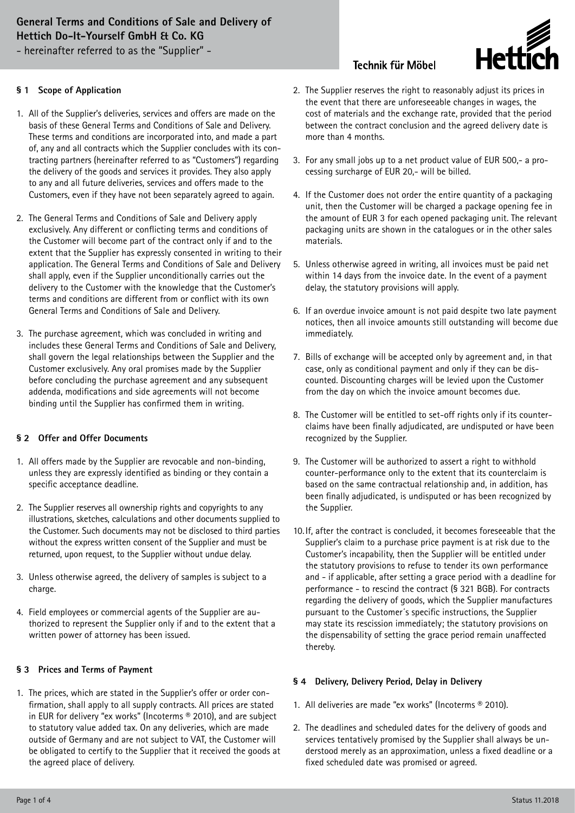# **General Terms and Conditions of Sale and Delivery of Hettich Do-It-Yourself GmbH & Co. KG**

- hereinafter referred to as the "Supplier" -

#### **§ 1 Scope of Application**

- 1. All of the Supplier's deliveries, services and offers are made on the basis of these General Terms and Conditions of Sale and Delivery. These terms and conditions are incorporated into, and made a part of, any and all contracts which the Supplier concludes with its contracting partners (hereinafter referred to as "Customers") regarding the delivery of the goods and services it provides. They also apply to any and all future deliveries, services and offers made to the Customers, even if they have not been separately agreed to again.
- 2. The General Terms and Conditions of Sale and Delivery apply exclusively. Any different or conflicting terms and conditions of the Customer will become part of the contract only if and to the extent that the Supplier has expressly consented in writing to their application. The General Terms and Conditions of Sale and Delivery shall apply, even if the Supplier unconditionally carries out the delivery to the Customer with the knowledge that the Customer's terms and conditions are different from or conflict with its own General Terms and Conditions of Sale and Delivery.
- 3. The purchase agreement, which was concluded in writing and includes these General Terms and Conditions of Sale and Delivery, shall govern the legal relationships between the Supplier and the Customer exclusively. Any oral promises made by the Supplier before concluding the purchase agreement and any subsequent addenda, modifications and side agreements will not become binding until the Supplier has confirmed them in writing.

#### **§ 2 Offer and Offer Documents**

- 1. All offers made by the Supplier are revocable and non-binding, unless they are expressly identified as binding or they contain a specific acceptance deadline.
- 2. The Supplier reserves all ownership rights and copyrights to any illustrations, sketches, calculations and other documents supplied to the Customer. Such documents may not be disclosed to third parties without the express written consent of the Supplier and must be returned, upon request, to the Supplier without undue delay.
- 3. Unless otherwise agreed, the delivery of samples is subject to a charge.
- 4. Field employees or commercial agents of the Supplier are authorized to represent the Supplier only if and to the extent that a written power of attorney has been issued.

#### **§ 3 Prices and Terms of Payment**

1. The prices, which are stated in the Supplier's offer or order confirmation, shall apply to all supply contracts. All prices are stated in EUR for delivery "ex works" (Incoterms ® 2010), and are subject to statutory value added tax. On any deliveries, which are made outside of Germany and are not subject to VAT, the Customer will be obligated to certify to the Supplier that it received the goods at the agreed place of delivery.

## **Technik für Möbel**



- 2. The Supplier reserves the right to reasonably adjust its prices in the event that there are unforeseeable changes in wages, the cost of materials and the exchange rate, provided that the period between the contract conclusion and the agreed delivery date is more than 4 months.
- 3. For any small jobs up to a net product value of EUR 500,- a processing surcharge of EUR 20,- will be billed.
- 4. If the Customer does not order the entire quantity of a packaging unit, then the Customer will be charged a package opening fee in the amount of EUR 3 for each opened packaging unit. The relevant packaging units are shown in the catalogues or in the other sales materials.
- 5. Unless otherwise agreed in writing, all invoices must be paid net within 14 days from the invoice date. In the event of a payment delay, the statutory provisions will apply.
- 6. If an overdue invoice amount is not paid despite two late payment notices, then all invoice amounts still outstanding will become due immediately.
- 7. Bills of exchange will be accepted only by agreement and, in that case, only as conditional payment and only if they can be discounted. Discounting charges will be levied upon the Customer from the day on which the invoice amount becomes due.
- 8. The Customer will be entitled to set-off rights only if its counterclaims have been finally adjudicated, are undisputed or have been recognized by the Supplier.
- 9. The Customer will be authorized to assert a right to withhold counter-performance only to the extent that its counterclaim is based on the same contractual relationship and, in addition, has been finally adjudicated, is undisputed or has been recognized by the Supplier.
- 10. If, after the contract is concluded, it becomes foreseeable that the Supplier's claim to a purchase price payment is at risk due to the Customer's incapability, then the Supplier will be entitled under the statutory provisions to refuse to tender its own performance and - if applicable, after setting a grace period with a deadline for performance - to rescind the contract (§ 321 BGB). For contracts regarding the delivery of goods, which the Supplier manufactures pursuant to the Customer´s specific instructions, the Supplier may state its rescission immediately; the statutory provisions on the dispensability of setting the grace period remain unaffected thereby.

#### **§ 4 Delivery, Delivery Period, Delay in Delivery**

- 1. All deliveries are made "ex works" (Incoterms ® 2010).
- 2. The deadlines and scheduled dates for the delivery of goods and services tentatively promised by the Supplier shall always be understood merely as an approximation, unless a fixed deadline or a fixed scheduled date was promised or agreed.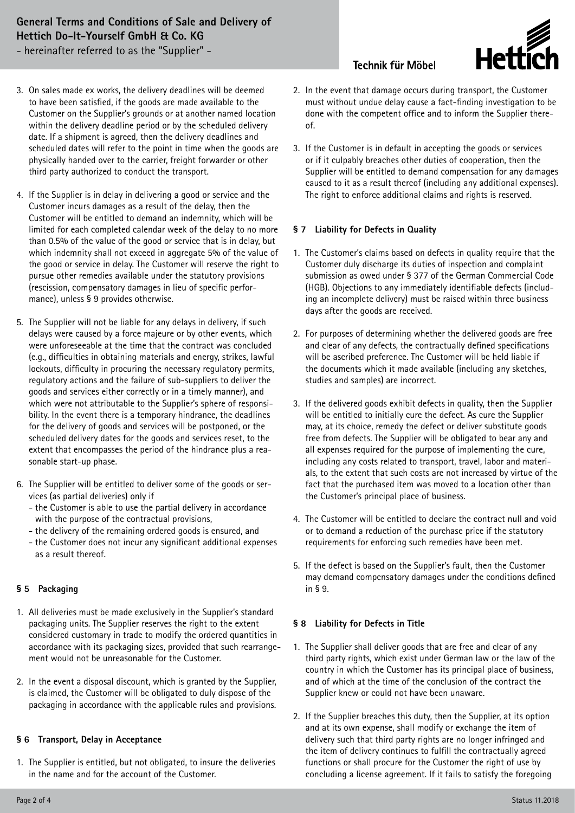# **General Terms and Conditions of Sale and Delivery of Hettich Do-It-Yourself GmbH & Co. KG**

- hereinafter referred to as the "Supplier" -

## **Technik für Möbel**



- 3. On sales made ex works, the delivery deadlines will be deemed to have been satisfied, if the goods are made available to the Customer on the Supplier's grounds or at another named location within the delivery deadline period or by the scheduled delivery date. If a shipment is agreed, then the delivery deadlines and scheduled dates will refer to the point in time when the goods are physically handed over to the carrier, freight forwarder or other third party authorized to conduct the transport.
- 4. If the Supplier is in delay in delivering a good or service and the Customer incurs damages as a result of the delay, then the Customer will be entitled to demand an indemnity, which will be limited for each completed calendar week of the delay to no more than 0.5% of the value of the good or service that is in delay, but which indemnity shall not exceed in aggregate 5% of the value of the good or service in delay. The Customer will reserve the right to pursue other remedies available under the statutory provisions (rescission, compensatory damages in lieu of specific performance), unless § 9 provides otherwise.
- 5. The Supplier will not be liable for any delays in delivery, if such delays were caused by a force majeure or by other events, which were unforeseeable at the time that the contract was concluded (e.g., difficulties in obtaining materials and energy, strikes, lawful lockouts, difficulty in procuring the necessary regulatory permits, regulatory actions and the failure of sub-suppliers to deliver the goods and services either correctly or in a timely manner), and which were not attributable to the Supplier's sphere of responsibility. In the event there is a temporary hindrance, the deadlines for the delivery of goods and services will be postponed, or the scheduled delivery dates for the goods and services reset, to the extent that encompasses the period of the hindrance plus a reasonable start-up phase.
- 6. The Supplier will be entitled to deliver some of the goods or services (as partial deliveries) only if
	- the Customer is able to use the partial delivery in accordance with the purpose of the contractual provisions,
	- the delivery of the remaining ordered goods is ensured, and - the Customer does not incur any significant additional expenses
	- as a result thereof.

## **§ 5 Packaging**

- 1. All deliveries must be made exclusively in the Supplier's standard packaging units. The Supplier reserves the right to the extent considered customary in trade to modify the ordered quantities in accordance with its packaging sizes, provided that such rearrangement would not be unreasonable for the Customer.
- 2. In the event a disposal discount, which is granted by the Supplier, is claimed, the Customer will be obligated to duly dispose of the packaging in accordance with the applicable rules and provisions.

#### **§ 6 Transport, Delay in Acceptance**

1. The Supplier is entitled, but not obligated, to insure the deliveries in the name and for the account of the Customer.

- 2. In the event that damage occurs during transport, the Customer must without undue delay cause a fact-finding investigation to be done with the competent office and to inform the Supplier thereof.
- 3. If the Customer is in default in accepting the goods or services or if it culpably breaches other duties of cooperation, then the Supplier will be entitled to demand compensation for any damages caused to it as a result thereof (including any additional expenses). The right to enforce additional claims and rights is reserved.

### **§ 7 Liability for Defects in Quality**

- 1. The Customer's claims based on defects in quality require that the Customer duly discharge its duties of inspection and complaint submission as owed under § 377 of the German Commercial Code (HGB). Objections to any immediately identifiable defects (including an incomplete delivery) must be raised within three business days after the goods are received.
- 2. For purposes of determining whether the delivered goods are free and clear of any defects, the contractually defined specifications will be ascribed preference. The Customer will be held liable if the documents which it made available (including any sketches, studies and samples) are incorrect.
- 3. If the delivered goods exhibit defects in quality, then the Supplier will be entitled to initially cure the defect. As cure the Supplier may, at its choice, remedy the defect or deliver substitute goods free from defects. The Supplier will be obligated to bear any and all expenses required for the purpose of implementing the cure, including any costs related to transport, travel, labor and materials, to the extent that such costs are not increased by virtue of the fact that the purchased item was moved to a location other than the Customer's principal place of business.
- 4. The Customer will be entitled to declare the contract null and void or to demand a reduction of the purchase price if the statutory requirements for enforcing such remedies have been met.
- 5. If the defect is based on the Supplier's fault, then the Customer may demand compensatory damages under the conditions defined in § 9.

#### **§ 8 Liability for Defects in Title**

- 1. The Supplier shall deliver goods that are free and clear of any third party rights, which exist under German law or the law of the country in which the Customer has its principal place of business, and of which at the time of the conclusion of the contract the Supplier knew or could not have been unaware.
- 2. If the Supplier breaches this duty, then the Supplier, at its option and at its own expense, shall modify or exchange the item of delivery such that third party rights are no longer infringed and the item of delivery continues to fulfill the contractually agreed functions or shall procure for the Customer the right of use by concluding a license agreement. If it fails to satisfy the foregoing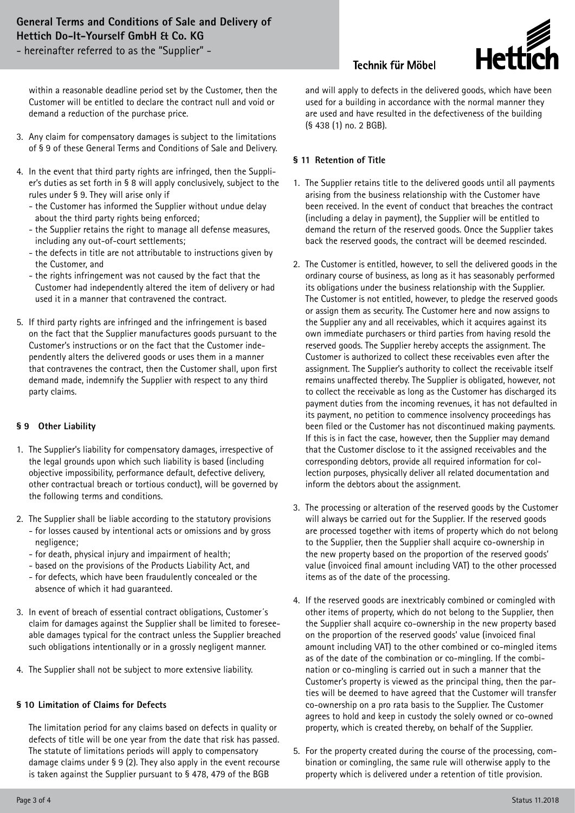- hereinafter referred to as the "Supplier" -

**Technik für Möbel** 



within a reasonable deadline period set by the Customer, then the Customer will be entitled to declare the contract null and void or demand a reduction of the purchase price.

- 3. Any claim for compensatory damages is subject to the limitations of § 9 of these General Terms and Conditions of Sale and Delivery.
- 4. In the event that third party rights are infringed, then the Supplier's duties as set forth in § 8 will apply conclusively, subject to the rules under § 9. They will arise only if
	- the Customer has informed the Supplier without undue delay about the third party rights being enforced;
	- the Supplier retains the right to manage all defense measures, including any out-of-court settlements;
	- the defects in title are not attributable to instructions given by the Customer, and
	- the rights infringement was not caused by the fact that the Customer had independently altered the item of delivery or had used it in a manner that contravened the contract.
- 5. If third party rights are infringed and the infringement is based on the fact that the Supplier manufactures goods pursuant to the Customer's instructions or on the fact that the Customer independently alters the delivered goods or uses them in a manner that contravenes the contract, then the Customer shall, upon first demand made, indemnify the Supplier with respect to any third party claims.

#### **§ 9 Other Liability**

- 1. The Supplier's liability for compensatory damages, irrespective of the legal grounds upon which such liability is based (including objective impossibility, performance default, defective delivery, other contractual breach or tortious conduct), will be governed by the following terms and conditions.
- 2. The Supplier shall be liable according to the statutory provisions
	- for losses caused by intentional acts or omissions and by gross negligence;
	- for death, physical injury and impairment of health;
	- based on the provisions of the Products Liability Act, and
	- for defects, which have been fraudulently concealed or the absence of which it had guaranteed.
- 3. In event of breach of essential contract obligations, Customer´s claim for damages against the Supplier shall be limited to foreseeable damages typical for the contract unless the Supplier breached such obligations intentionally or in a grossly negligent manner.
- 4. The Supplier shall not be subject to more extensive liability.

#### **§ 10 Limitation of Claims for Defects**

 The limitation period for any claims based on defects in quality or defects of title will be one year from the date that risk has passed. The statute of limitations periods will apply to compensatory damage claims under § 9 (2). They also apply in the event recourse is taken against the Supplier pursuant to § 478, 479 of the BGB

and will apply to defects in the delivered goods, which have been used for a building in accordance with the normal manner they are used and have resulted in the defectiveness of the building (§ 438 (1) no. 2 BGB).

### **§ 11 Retention of Title**

- 1. The Supplier retains title to the delivered goods until all payments arising from the business relationship with the Customer have been received. In the event of conduct that breaches the contract (including a delay in payment), the Supplier will be entitled to demand the return of the reserved goods. Once the Supplier takes back the reserved goods, the contract will be deemed rescinded.
- 2. The Customer is entitled, however, to sell the delivered goods in the ordinary course of business, as long as it has seasonably performed its obligations under the business relationship with the Supplier. The Customer is not entitled, however, to pledge the reserved goods or assign them as security. The Customer here and now assigns to the Supplier any and all receivables, which it acquires against its own immediate purchasers or third parties from having resold the reserved goods. The Supplier hereby accepts the assignment. The Customer is authorized to collect these receivables even after the assignment. The Supplier's authority to collect the receivable itself remains unaffected thereby. The Supplier is obligated, however, not to collect the receivable as long as the Customer has discharged its payment duties from the incoming revenues, it has not defaulted in its payment, no petition to commence insolvency proceedings has been filed or the Customer has not discontinued making payments. If this is in fact the case, however, then the Supplier may demand that the Customer disclose to it the assigned receivables and the corresponding debtors, provide all required information for collection purposes, physically deliver all related documentation and inform the debtors about the assignment.
- 3. The processing or alteration of the reserved goods by the Customer will always be carried out for the Supplier. If the reserved goods are processed together with items of property which do not belong to the Supplier, then the Supplier shall acquire co-ownership in the new property based on the proportion of the reserved goods' value (invoiced final amount including VAT) to the other processed items as of the date of the processing.
- 4. If the reserved goods are inextricably combined or comingled with other items of property, which do not belong to the Supplier, then the Supplier shall acquire co-ownership in the new property based on the proportion of the reserved goods' value (invoiced final amount including VAT) to the other combined or co-mingled items as of the date of the combination or co-mingling. If the combination or co-mingling is carried out in such a manner that the Customer's property is viewed as the principal thing, then the parties will be deemed to have agreed that the Customer will transfer co-ownership on a pro rata basis to the Supplier. The Customer agrees to hold and keep in custody the solely owned or co-owned property, which is created thereby, on behalf of the Supplier.
- 5. For the property created during the course of the processing, combination or comingling, the same rule will otherwise apply to the property which is delivered under a retention of title provision.